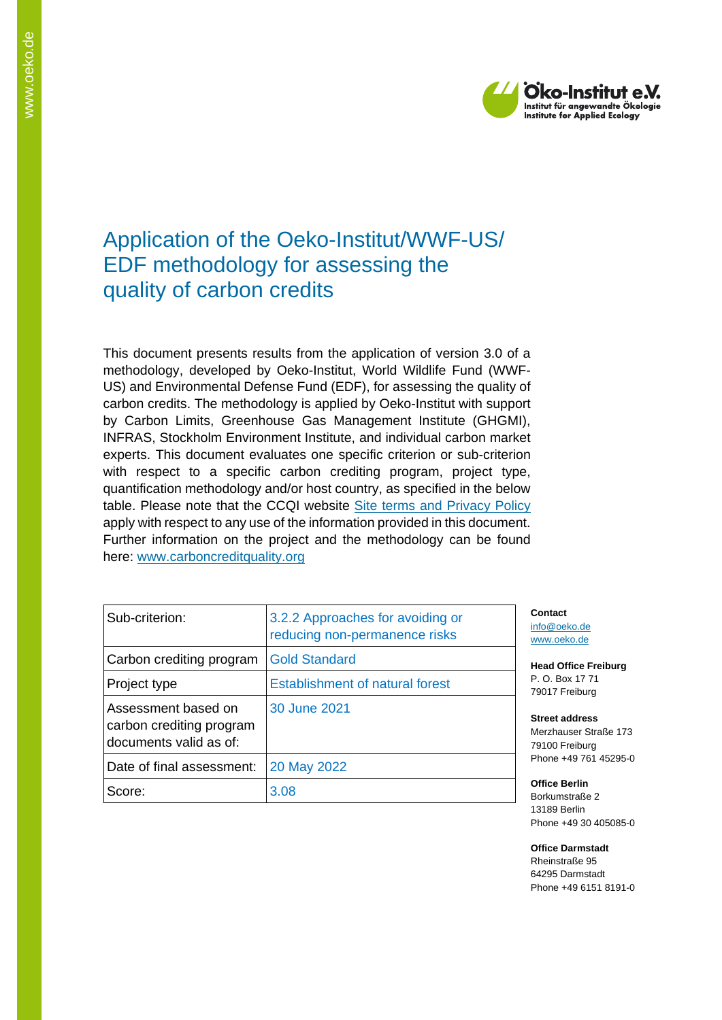

# Application of the Oeko-Institut/WWF-US/ EDF methodology for assessing the quality of carbon credits

This document presents results from the application of version 3.0 of a methodology, developed by Oeko-Institut, World Wildlife Fund (WWF-US) and Environmental Defense Fund (EDF), for assessing the quality of carbon credits. The methodology is applied by Oeko-Institut with support by Carbon Limits, Greenhouse Gas Management Institute (GHGMI), INFRAS, Stockholm Environment Institute, and individual carbon market experts. This document evaluates one specific criterion or sub-criterion with respect to a specific carbon crediting program, project type, quantification methodology and/or host country, as specified in the below table. Please note that the CCQI website [Site terms and Privacy Policy](https://carboncreditquality.org/terms.html) apply with respect to any use of the information provided in this document. Further information on the project and the methodology can be found here: [www.carboncreditquality.org](http://www.carboncreditquality.org/)

| Sub-criterion:                                                            | 3.2.2 Approaches for avoiding or<br>reducing non-permanence risks |
|---------------------------------------------------------------------------|-------------------------------------------------------------------|
| Carbon crediting program                                                  | <b>Gold Standard</b>                                              |
| Project type                                                              | <b>Establishment of natural forest</b>                            |
| Assessment based on<br>carbon crediting program<br>documents valid as of: | 30 June 2021                                                      |
| Date of final assessment:                                                 | 20 May 2022                                                       |
| Score:                                                                    | 3.08                                                              |

**Contact** [info@oeko.de](mailto:info@oeko.de) [www.oeko.de](http://www.oeko.de/)

**Head Office Freiburg** P. O. Box 17 71 79017 Freiburg

**Street address** Merzhauser Straße 173 79100 Freiburg Phone +49 761 45295-0

**Office Berlin** Borkumstraße 2 13189 Berlin Phone +49 30 405085-0

**Office Darmstadt** Rheinstraße 95 64295 Darmstadt Phone +49 6151 8191-0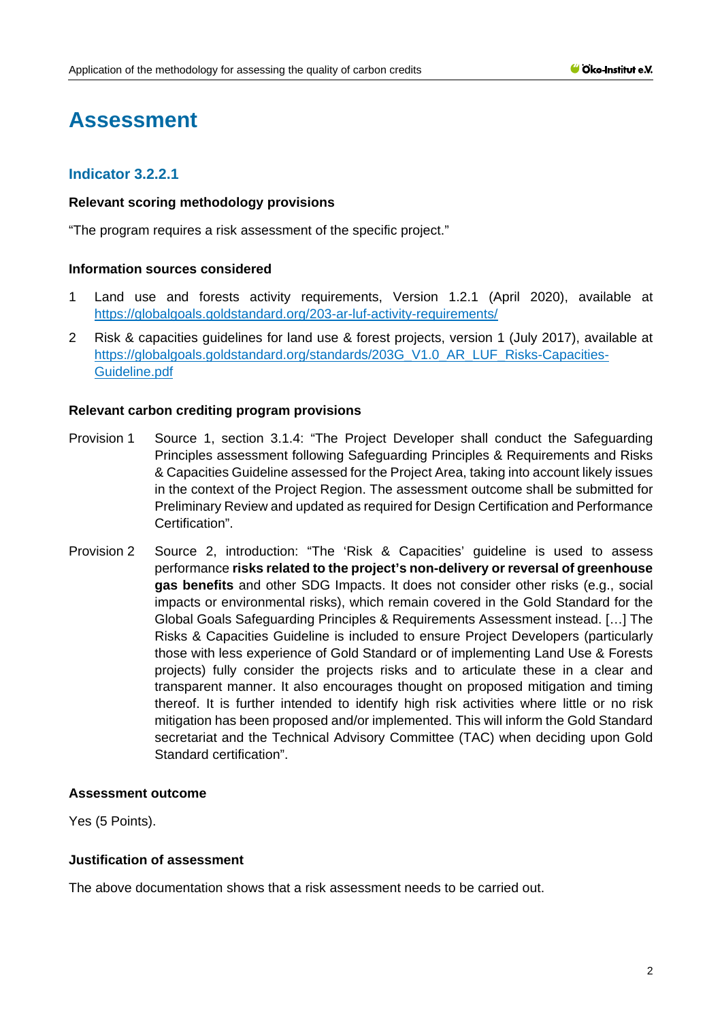# **Assessment**

# **Indicator 3.2.2.1**

# **Relevant scoring methodology provisions**

"The program requires a risk assessment of the specific project."

# **Information sources considered**

- 1 Land use and forests activity requirements, Version 1.2.1 (April 2020), available at <https://globalgoals.goldstandard.org/203-ar-luf-activity-requirements/>
- 2 Risk & capacities guidelines for land use & forest projects, version 1 (July 2017), available at [https://globalgoals.goldstandard.org/standards/203G\\_V1.0\\_AR\\_LUF\\_Risks-Capacities-](https://globalgoals.goldstandard.org/standards/203G_V1.0_AR_LUF_Risks-Capacities-Guideline.pdf)[Guideline.pdf](https://globalgoals.goldstandard.org/standards/203G_V1.0_AR_LUF_Risks-Capacities-Guideline.pdf)

# **Relevant carbon crediting program provisions**

- Provision 1 Source 1, section 3.1.4: "The Project Developer shall conduct the Safeguarding Principles assessment following Safeguarding Principles & Requirements and Risks & Capacities Guideline assessed for the Project Area, taking into account likely issues in the context of the Project Region. The assessment outcome shall be submitted for Preliminary Review and updated as required for Design Certification and Performance Certification".
- Provision 2 Source 2, introduction: "The 'Risk & Capacities' guideline is used to assess performance **risks related to the project's non-delivery or reversal of greenhouse gas benefits** and other SDG Impacts. It does not consider other risks (e.g., social impacts or environmental risks), which remain covered in the Gold Standard for the Global Goals Safeguarding Principles & Requirements Assessment instead. […] The Risks & Capacities Guideline is included to ensure Project Developers (particularly those with less experience of Gold Standard or of implementing Land Use & Forests projects) fully consider the projects risks and to articulate these in a clear and transparent manner. It also encourages thought on proposed mitigation and timing thereof. It is further intended to identify high risk activities where little or no risk mitigation has been proposed and/or implemented. This will inform the Gold Standard secretariat and the Technical Advisory Committee (TAC) when deciding upon Gold Standard certification".

# **Assessment outcome**

Yes (5 Points).

# **Justification of assessment**

The above documentation shows that a risk assessment needs to be carried out.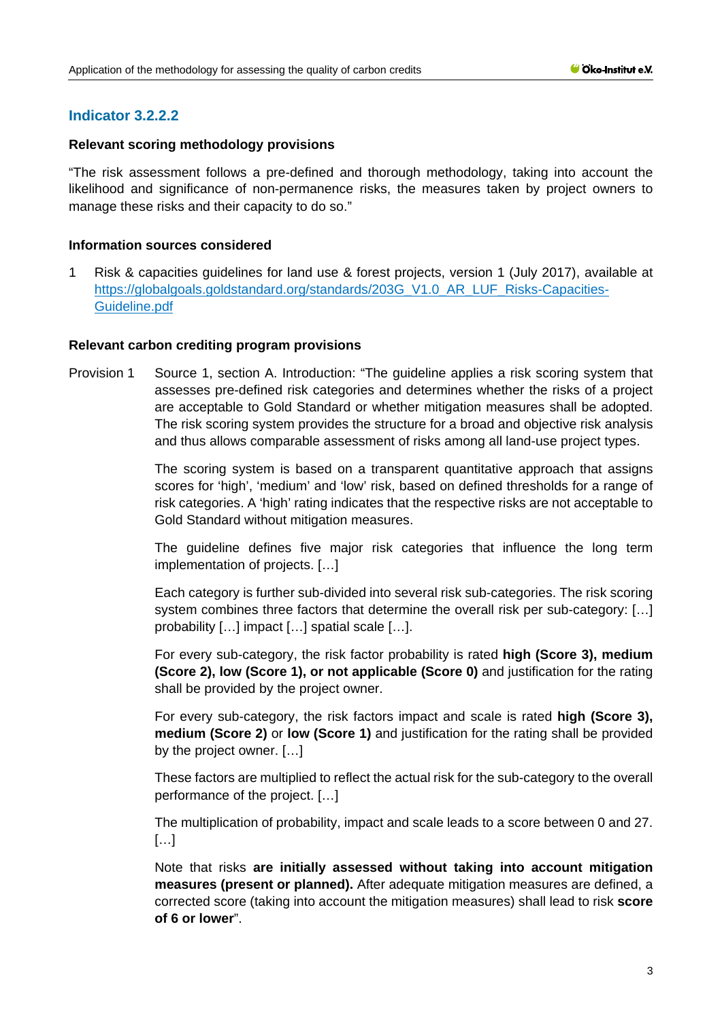# **Indicator 3.2.2.2**

# **Relevant scoring methodology provisions**

"The risk assessment follows a pre-defined and thorough methodology, taking into account the likelihood and significance of non-permanence risks, the measures taken by project owners to manage these risks and their capacity to do so."

# **Information sources considered**

1 Risk & capacities guidelines for land use & forest projects, version 1 (July 2017), available at [https://globalgoals.goldstandard.org/standards/203G\\_V1.0\\_AR\\_LUF\\_Risks-Capacities-](https://globalgoals.goldstandard.org/standards/203G_V1.0_AR_LUF_Risks-Capacities-Guideline.pdf)[Guideline.pdf](https://globalgoals.goldstandard.org/standards/203G_V1.0_AR_LUF_Risks-Capacities-Guideline.pdf)

# **Relevant carbon crediting program provisions**

Provision 1 Source 1, section A. Introduction: "The guideline applies a risk scoring system that assesses pre-defined risk categories and determines whether the risks of a project are acceptable to Gold Standard or whether mitigation measures shall be adopted. The risk scoring system provides the structure for a broad and objective risk analysis and thus allows comparable assessment of risks among all land-use project types.

> The scoring system is based on a transparent quantitative approach that assigns scores for 'high', 'medium' and 'low' risk, based on defined thresholds for a range of risk categories. A 'high' rating indicates that the respective risks are not acceptable to Gold Standard without mitigation measures.

> The guideline defines five major risk categories that influence the long term implementation of projects. […]

> Each category is further sub-divided into several risk sub-categories. The risk scoring system combines three factors that determine the overall risk per sub-category: […] probability […] impact […] spatial scale […].

> For every sub-category, the risk factor probability is rated **high (Score 3), medium (Score 2), low (Score 1), or not applicable (Score 0)** and justification for the rating shall be provided by the project owner.

> For every sub-category, the risk factors impact and scale is rated **high (Score 3), medium (Score 2)** or **low (Score 1)** and justification for the rating shall be provided by the project owner. […]

> These factors are multiplied to reflect the actual risk for the sub-category to the overall performance of the project. […]

> The multiplication of probability, impact and scale leads to a score between 0 and 27. […]

> Note that risks **are initially assessed without taking into account mitigation measures (present or planned).** After adequate mitigation measures are defined, a corrected score (taking into account the mitigation measures) shall lead to risk **score of 6 or lower**".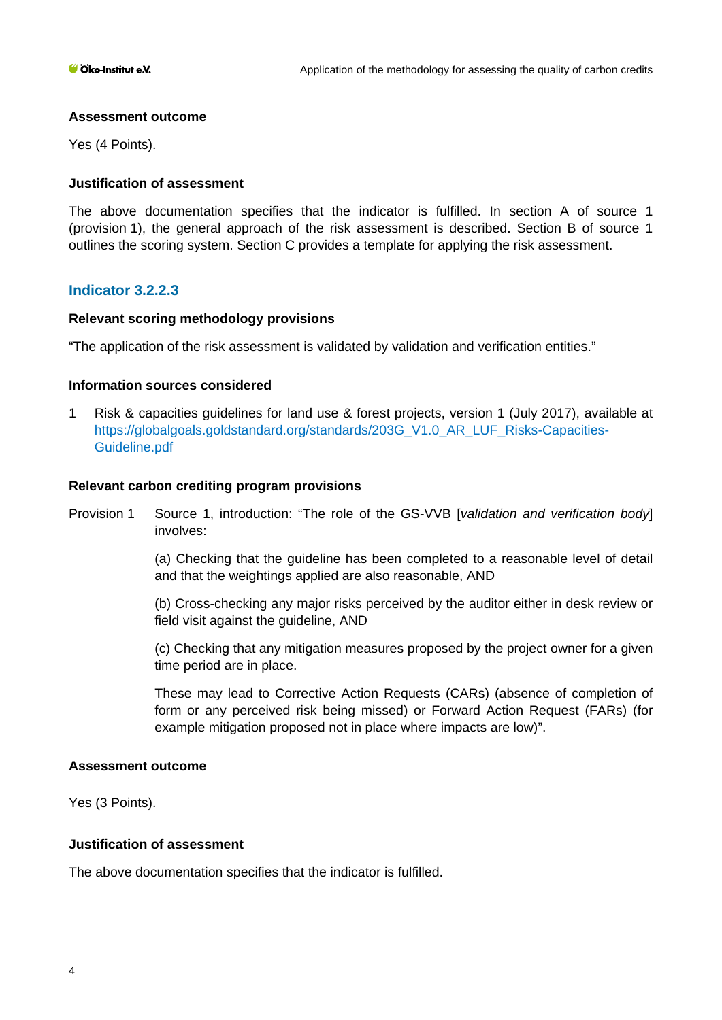#### **Assessment outcome**

Yes (4 Points).

# **Justification of assessment**

The above documentation specifies that the indicator is fulfilled. In section A of source 1 (provision 1), the general approach of the risk assessment is described. Section B of source 1 outlines the scoring system. Section C provides a template for applying the risk assessment.

# **Indicator 3.2.2.3**

# **Relevant scoring methodology provisions**

"The application of the risk assessment is validated by validation and verification entities."

# **Information sources considered**

1 Risk & capacities guidelines for land use & forest projects, version 1 (July 2017), available at [https://globalgoals.goldstandard.org/standards/203G\\_V1.0\\_AR\\_LUF\\_Risks-Capacities-](https://globalgoals.goldstandard.org/standards/203G_V1.0_AR_LUF_Risks-Capacities-Guideline.pdf)[Guideline.pdf](https://globalgoals.goldstandard.org/standards/203G_V1.0_AR_LUF_Risks-Capacities-Guideline.pdf)

# **Relevant carbon crediting program provisions**

Provision 1 Source 1, introduction: "The role of the GS-VVB [*validation and verification body*] involves:

> (a) Checking that the guideline has been completed to a reasonable level of detail and that the weightings applied are also reasonable, AND

> (b) Cross-checking any major risks perceived by the auditor either in desk review or field visit against the guideline, AND

> (c) Checking that any mitigation measures proposed by the project owner for a given time period are in place.

> These may lead to Corrective Action Requests (CARs) (absence of completion of form or any perceived risk being missed) or Forward Action Request (FARs) (for example mitigation proposed not in place where impacts are low)".

#### **Assessment outcome**

Yes (3 Points).

#### **Justification of assessment**

The above documentation specifies that the indicator is fulfilled.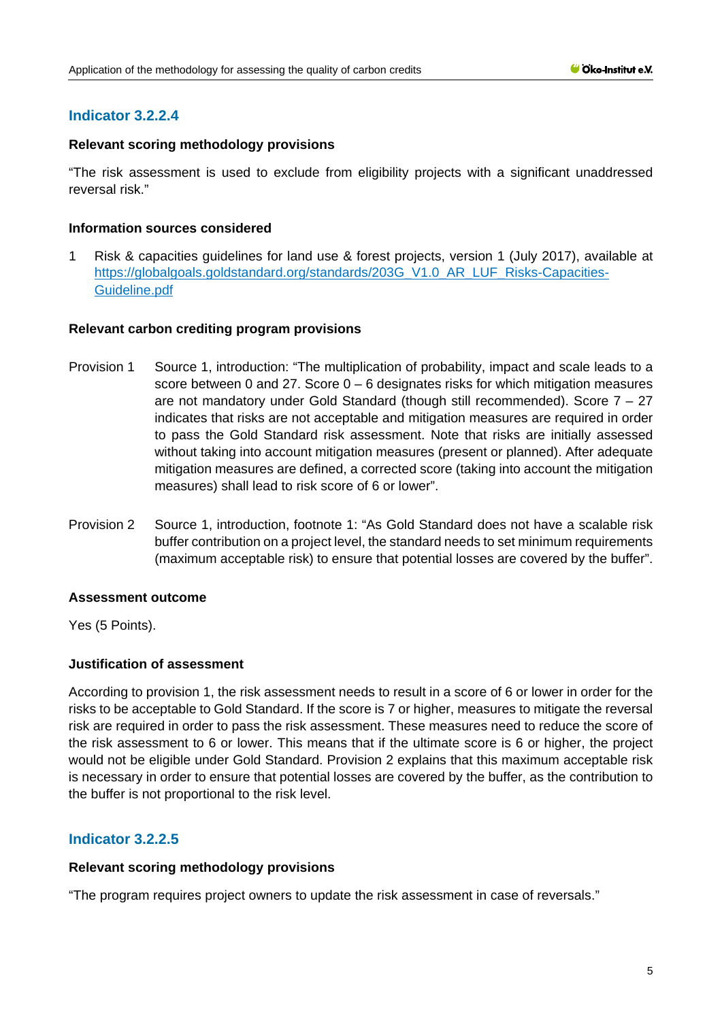# **Indicator 3.2.2.4**

# **Relevant scoring methodology provisions**

"The risk assessment is used to exclude from eligibility projects with a significant unaddressed reversal risk."

# **Information sources considered**

1 Risk & capacities guidelines for land use & forest projects, version 1 (July 2017), available at [https://globalgoals.goldstandard.org/standards/203G\\_V1.0\\_AR\\_LUF\\_Risks-Capacities-](https://globalgoals.goldstandard.org/standards/203G_V1.0_AR_LUF_Risks-Capacities-Guideline.pdf)[Guideline.pdf](https://globalgoals.goldstandard.org/standards/203G_V1.0_AR_LUF_Risks-Capacities-Guideline.pdf)

# **Relevant carbon crediting program provisions**

- Provision 1 Source 1, introduction: "The multiplication of probability, impact and scale leads to a score between 0 and 27. Score  $0 - 6$  designates risks for which mitigation measures are not mandatory under Gold Standard (though still recommended). Score 7 – 27 indicates that risks are not acceptable and mitigation measures are required in order to pass the Gold Standard risk assessment. Note that risks are initially assessed without taking into account mitigation measures (present or planned). After adequate mitigation measures are defined, a corrected score (taking into account the mitigation measures) shall lead to risk score of 6 or lower".
- Provision 2 Source 1, introduction, footnote 1: "As Gold Standard does not have a scalable risk buffer contribution on a project level, the standard needs to set minimum requirements (maximum acceptable risk) to ensure that potential losses are covered by the buffer".

# **Assessment outcome**

Yes (5 Points).

# **Justification of assessment**

According to provision 1, the risk assessment needs to result in a score of 6 or lower in order for the risks to be acceptable to Gold Standard. If the score is 7 or higher, measures to mitigate the reversal risk are required in order to pass the risk assessment. These measures need to reduce the score of the risk assessment to 6 or lower. This means that if the ultimate score is 6 or higher, the project would not be eligible under Gold Standard. Provision 2 explains that this maximum acceptable risk is necessary in order to ensure that potential losses are covered by the buffer, as the contribution to the buffer is not proportional to the risk level.

# **Indicator 3.2.2.5**

#### **Relevant scoring methodology provisions**

"The program requires project owners to update the risk assessment in case of reversals."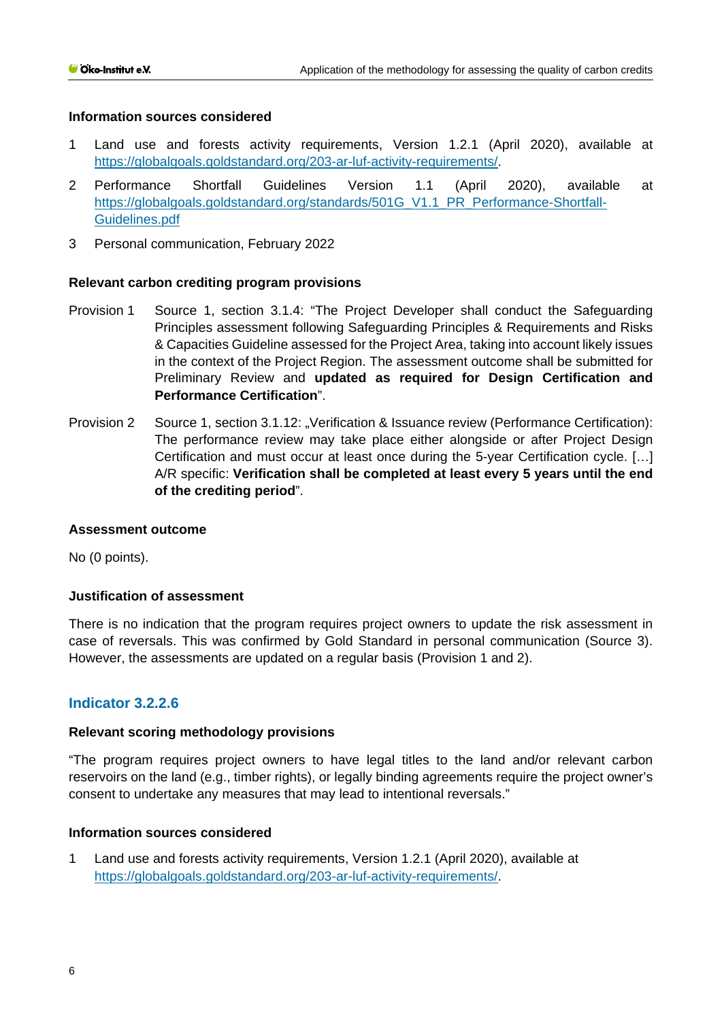# **Information sources considered**

- 1 Land use and forests activity requirements, Version 1.2.1 (April 2020), available at [https://globalgoals.goldstandard.org/203-ar-luf-activity-requirements/.](https://globalgoals.goldstandard.org/203-ar-luf-activity-requirements/)
- 2 Performance Shortfall Guidelines Version 1.1 (April 2020), available at [https://globalgoals.goldstandard.org/standards/501G\\_V1.1\\_PR\\_Performance-Shortfall-](https://globalgoals.goldstandard.org/standards/501G_V1.1_PR_Performance-Shortfall-Guidelines.pdf)[Guidelines.pdf](https://globalgoals.goldstandard.org/standards/501G_V1.1_PR_Performance-Shortfall-Guidelines.pdf)
- 3 Personal communication, February 2022

# **Relevant carbon crediting program provisions**

- Provision 1 Source 1, section 3.1.4: "The Project Developer shall conduct the Safeguarding Principles assessment following Safeguarding Principles & Requirements and Risks & Capacities Guideline assessed for the Project Area, taking into account likely issues in the context of the Project Region. The assessment outcome shall be submitted for Preliminary Review and **updated as required for Design Certification and Performance Certification**".
- Provision 2 Source 1, section 3.1.12: "Verification & Issuance review (Performance Certification): The performance review may take place either alongside or after Project Design Certification and must occur at least once during the 5-year Certification cycle. […] A/R specific: **Verification shall be completed at least every 5 years until the end of the crediting period**".

#### **Assessment outcome**

No (0 points).

#### **Justification of assessment**

There is no indication that the program requires project owners to update the risk assessment in case of reversals. This was confirmed by Gold Standard in personal communication (Source 3). However, the assessments are updated on a regular basis (Provision 1 and 2).

# **Indicator 3.2.2.6**

#### **Relevant scoring methodology provisions**

"The program requires project owners to have legal titles to the land and/or relevant carbon reservoirs on the land (e.g., timber rights), or legally binding agreements require the project owner's consent to undertake any measures that may lead to intentional reversals."

#### **Information sources considered**

1 Land use and forests activity requirements, Version 1.2.1 (April 2020), available at [https://globalgoals.goldstandard.org/203-ar-luf-activity-requirements/.](https://globalgoals.goldstandard.org/203-ar-luf-activity-requirements/)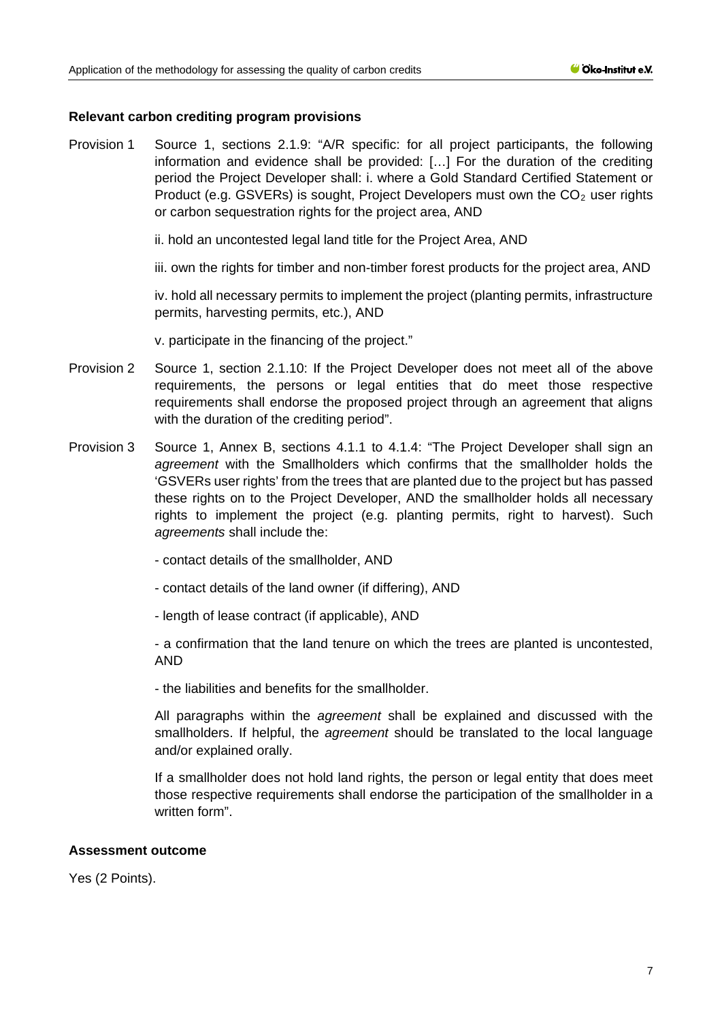# **Relevant carbon crediting program provisions**

Provision 1 Source 1, sections 2.1.9: "A/R specific: for all project participants, the following information and evidence shall be provided: […] For the duration of the crediting period the Project Developer shall: i. where a Gold Standard Certified Statement or Product (e.g. GSVERs) is sought, Project Developers must own the  $CO<sub>2</sub>$  user rights or carbon sequestration rights for the project area, AND

ii. hold an uncontested legal land title for the Project Area, AND

iii. own the rights for timber and non-timber forest products for the project area, AND

iv. hold all necessary permits to implement the project (planting permits, infrastructure permits, harvesting permits, etc.), AND

v. participate in the financing of the project."

- Provision 2 Source 1, section 2.1.10: If the Project Developer does not meet all of the above requirements, the persons or legal entities that do meet those respective requirements shall endorse the proposed project through an agreement that aligns with the duration of the crediting period".
- Provision 3 Source 1, Annex B, sections 4.1.1 to 4.1.4: "The Project Developer shall sign an *agreement* with the Smallholders which confirms that the smallholder holds the 'GSVERs user rights' from the trees that are planted due to the project but has passed these rights on to the Project Developer, AND the smallholder holds all necessary rights to implement the project (e.g. planting permits, right to harvest). Such *agreements* shall include the:
	- contact details of the smallholder, AND
	- contact details of the land owner (if differing), AND
	- length of lease contract (if applicable), AND

- a confirmation that the land tenure on which the trees are planted is uncontested, AND

- the liabilities and benefits for the smallholder.

All paragraphs within the *agreement* shall be explained and discussed with the smallholders. If helpful, the *agreement* should be translated to the local language and/or explained orally.

If a smallholder does not hold land rights, the person or legal entity that does meet those respective requirements shall endorse the participation of the smallholder in a written form".

#### **Assessment outcome**

Yes (2 Points).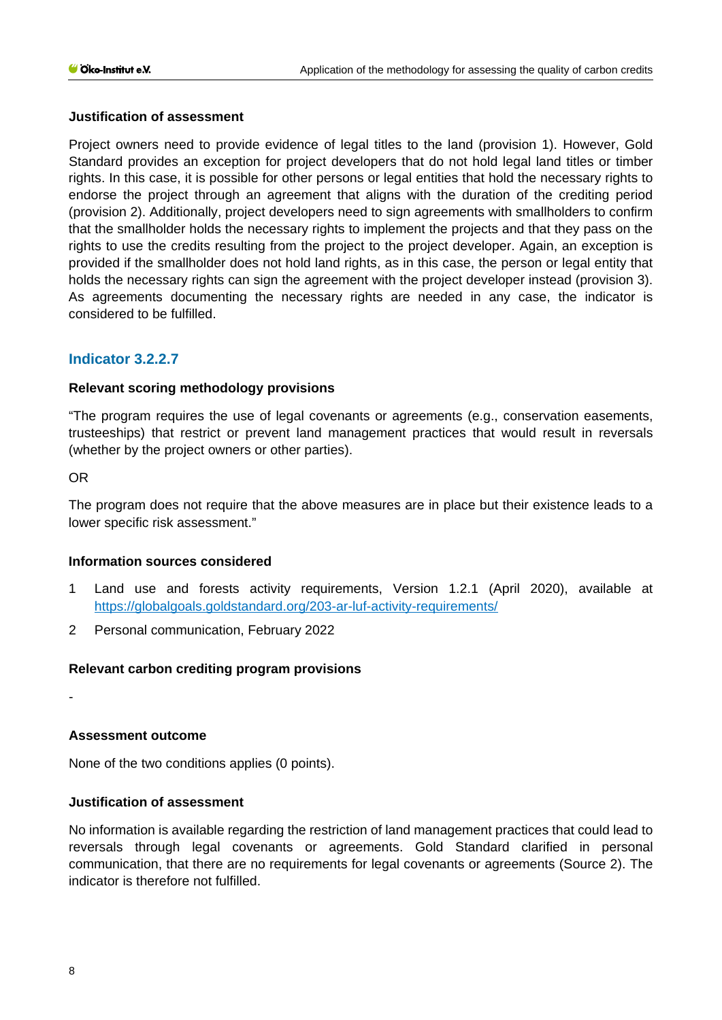# **Justification of assessment**

Project owners need to provide evidence of legal titles to the land (provision 1). However, Gold Standard provides an exception for project developers that do not hold legal land titles or timber rights. In this case, it is possible for other persons or legal entities that hold the necessary rights to endorse the project through an agreement that aligns with the duration of the crediting period (provision 2). Additionally, project developers need to sign agreements with smallholders to confirm that the smallholder holds the necessary rights to implement the projects and that they pass on the rights to use the credits resulting from the project to the project developer. Again, an exception is provided if the smallholder does not hold land rights, as in this case, the person or legal entity that holds the necessary rights can sign the agreement with the project developer instead (provision 3). As agreements documenting the necessary rights are needed in any case, the indicator is considered to be fulfilled.

# **Indicator 3.2.2.7**

# **Relevant scoring methodology provisions**

"The program requires the use of legal covenants or agreements (e.g., conservation easements, trusteeships) that restrict or prevent land management practices that would result in reversals (whether by the project owners or other parties).

OR

The program does not require that the above measures are in place but their existence leads to a lower specific risk assessment."

#### **Information sources considered**

- 1 Land use and forests activity requirements, Version 1.2.1 (April 2020), available at <https://globalgoals.goldstandard.org/203-ar-luf-activity-requirements/>
- 2 Personal communication, February 2022

# **Relevant carbon crediting program provisions**

-

# **Assessment outcome**

None of the two conditions applies (0 points).

#### **Justification of assessment**

No information is available regarding the restriction of land management practices that could lead to reversals through legal covenants or agreements. Gold Standard clarified in personal communication, that there are no requirements for legal covenants or agreements (Source 2). The indicator is therefore not fulfilled.